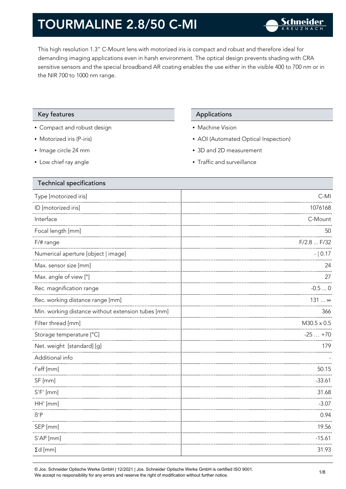This high resolution 1.3" C-Mount lens with motorized iris is compact and robust and therefore ideal for demanding imaging applications even in harsh environment. The optical design prevents shading with CRA sensitive sensors and the special broadband AR coating enables the use either in the visible 400 to 700 nm or in the NIR 700 to 1000 nm range.

### Key features **Applications** Applications

- Compact and robust design
- Motorized iris (P-iris)
- Image circle 24 mm
- Low chief ray angle

- Machine Vision
- AOI (Automated Optical Inspection)
- 3D and 2D measurement
- Traffic and surveillance

| Technical specifications                           |                    |
|----------------------------------------------------|--------------------|
| Type [motorized iris]                              | $C-MI$             |
| ID [motorized iris]                                | 1076168            |
| Interface                                          | C-Mount            |
| Focal length [mm]                                  | 50                 |
| F/# range                                          | F/2.8  F/32        |
| Numerical aperture [object   image]                | $- 0.17$           |
| Max. sensor size [mm]                              | 24                 |
| Max. angle of view [°]                             | 27                 |
| Rec. magnification range                           | $-0.50$            |
| Rec. working distance range [mm]                   | 131  ∞             |
| Min. working distance without extension tubes [mm] | 366                |
| Filter thread [mm]                                 | $M30.5 \times 0.5$ |
| Storage temperature [°C]                           | $-25+70$           |
| Net. weight [standard] [g]                         | 179                |
| Additional info                                    |                    |
| f'eff [mm]                                         | 50.15              |
| SF [mm]                                            | $-33.61$           |
| $S'F'$ [mm]                                        | 31.68              |
| HH' [mm]                                           | $-3.07$            |
| $\beta'$ P                                         | 0.94               |
| SEP [mm]                                           | 19.56              |
| S'AP [mm]                                          | $-15.61$           |
| $\Sigma d$ [mm]                                    | 31.93              |
|                                                    |                    |

© Jos. Schneider Optische Werke GmbH | 12/2021 | Jos. Schneider Optische Werke GmbH is certified ISO 9001. We accept no responsibility for any errors and reserve the right of modification without further notice.<br>We accept no responsibility for any errors and reserve the right of modification without further notice.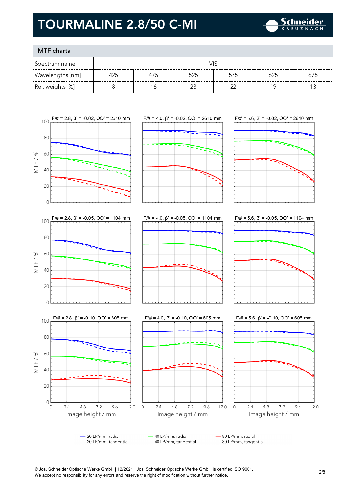

### MTF charts

| Spectrum name    |     |     | VIS |     |     |     |
|------------------|-----|-----|-----|-----|-----|-----|
| Wavelengths [nm] | 425 | 475 | 525 | 575 | 625 | 675 |
| Rel. weights [%] |     | 16  |     |     | 1 Q |     |









40 LP/mm, radial - 80 LP/mm, radial - 20 LP/mm, radial --- 20 LP/mm, tangential --- 40 LP/mm, tangential --- 80 LP/mm, tangential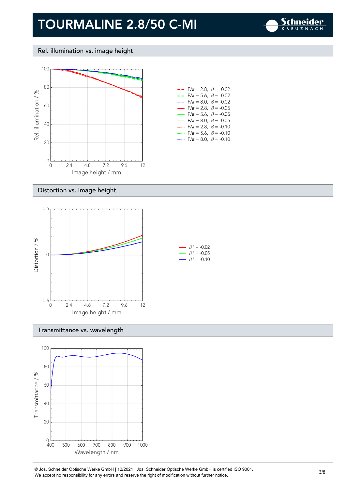

### Rel. illumination vs. image height



| $- -$ F/# = 2.8, $\beta$ = -0.02         |  |
|------------------------------------------|--|
| $- -$ F/# = 5.6, $\beta$ = -0.02         |  |
| $- -$ F/# = 8.0, $\beta$ = -0.02         |  |
| $\rightarrow$ F/# = 2.8, $\beta$ = -0.05 |  |
| — F/# = 5.6, $\beta$ = -0.05             |  |
| $\rightarrow$ F/# = 8.0, $\beta$ = -0.05 |  |
| $F/\ddot{=} = 2.8, \ \beta = -0.10$      |  |
| F/# = 5.6, $\beta$ = -0.10               |  |
| F/# = 8.0, $\beta$ = -0.10               |  |

### Distortion vs. image height



### Transmittance vs. wavelength



© Jos. Schneider Optische Werke GmbH | 12/2021 | Jos. Schneider Optische Werke GmbH is certified ISO 9001. We Jos. Scrinelaer Opuscrie werke GribH | 12/2021 | Jos. Scrinelaer Opuscrie werke GribH is certified ISO 9001.<br>We accept no responsibility for any errors and reserve the right of modification without further notice.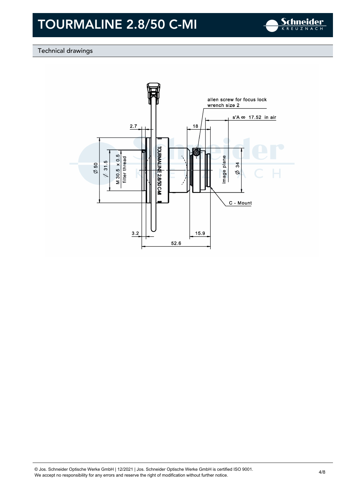

### Technical drawings

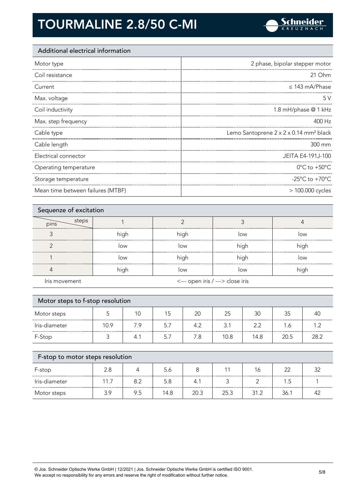

### Additional electrical information

| Motor type            | 2 phase, bipolar stepper motor                     |
|-----------------------|----------------------------------------------------|
| Coil resistance       | 21 Ohm                                             |
| Current               | $\leq$ 143 mA/Phase                                |
| Max. voltage          | 5V                                                 |
| Coil inductivity      | 1.8 mH/phase @ 1 kHz                               |
| Max. step frequency   | 400 Hz                                             |
|                       |                                                    |
| Cable type            | Lemo Santoprene 2 x 2 x 0.14 mm <sup>2</sup> black |
| Cable length          | 300 mm                                             |
| Electrical connector  | JEITA E4-191J-100                                  |
| Operating temperature | $0^{\circ}$ C to +50 $^{\circ}$ C                  |
| Storage temperature   | -25 $^{\circ}$ C to +70 $^{\circ}$ C               |

| Sequenze of excitation |      |                                  |      |      |
|------------------------|------|----------------------------------|------|------|
| steps<br>pins          |      |                                  |      |      |
|                        | high | high                             | low  | low  |
| ╭                      | low  | low                              | high | high |
|                        | low  | high                             | high | low  |
|                        | high | low                              | low  | high |
| Iris movement          |      | <--- open iris / ---> close iris |      |      |

| Motor steps to f-stop resolution |      |     |     |     |      |      |      |      |
|----------------------------------|------|-----|-----|-----|------|------|------|------|
| Motor steps                      |      | 10  | 15  | 20  | 25   | 30   | 35   | 40   |
| Iris-diameter                    | 10.9 | 7.9 | 5.7 | 4.2 | 3.1  | 2.2  | 1.6  | 1.2  |
| F-Stop                           |      | 4.1 | 5.7 | 7.8 | 10.8 | 14.8 | 20.5 | 28.2 |
|                                  |      |     |     |     |      |      |      |      |

| F-stop to motor steps resolution |      |     |      |      |      |      |      |  |
|----------------------------------|------|-----|------|------|------|------|------|--|
| F-stop                           | 2.8  |     | 5.6  |      |      | 16   | つつ   |  |
| Iris-diameter                    | 11.7 | 8.2 | 5.8  | 4.1  |      |      | 1.5  |  |
| Motor steps                      | 3.9  | 9.5 | 14.8 | 20.3 | 25.3 | 31.2 | 36.1 |  |

© Jos. Schneider Optische Werke GmbH | 12/2021 | Jos. Schneider Optische Werke GmbH is certified ISO 9001. We accept no responsibility for any errors and reserve the right of modification without further notice. 5/8<br>We accept no responsibility for any errors and reserve the right of modification without further notice.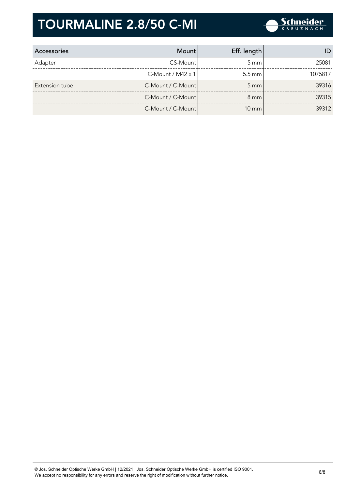

| Accessories    | Mount                | Eff. length        |         |
|----------------|----------------------|--------------------|---------|
| Adapter        | CS-Mount             | $5 \text{ mm}$     | 25081   |
|                | $C-M$ ount / M42 x 1 | $5.5 \text{ mm}$   | 1075817 |
| Extension tube | C-Mount / C-Mount    | $5 \, \mathrm{mm}$ | 39316   |
|                | C-Mount / C-Mount    | $8 \text{ mm}$     | 39315   |
|                | C-Mount / C-Mount    | $10 \text{ mm}$    | 39312   |